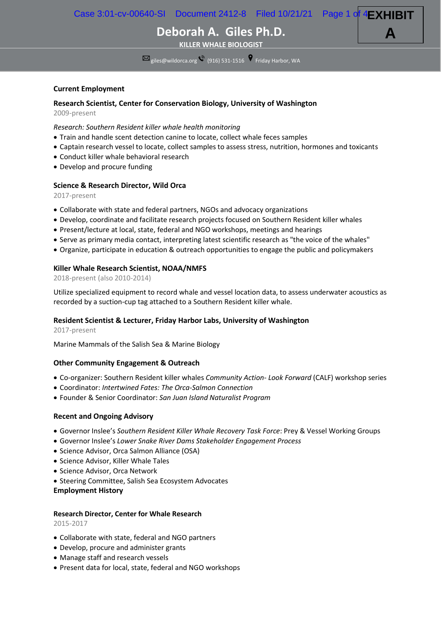Case 3:01-cv-00640-SI Document 2412-8 Filed 10/21/21 Page 1 of 4 **EXHIBIT**

**A**

**Deborah A. Giles Ph.D.**

**KILLER WHALE BIOLOGIST**

 $\overline{\text{M}}_{\text{giles@wildorca.org}}$  (916) 531-1516  $\degree$  Friday Harbor, WA

### **Current Employment**

## **Research Scientist, Center for Conservation Biology, University of Washington**

2009-present

#### *Research: Southern Resident killer whale health monitoring*

- Train and handle scent detection canine to locate, collect whale feces samples
- Captain research vessel to locate, collect samples to assess stress, nutrition, hormones and toxicants
- Conduct killer whale behavioral research
- Develop and procure funding

### **Science & Research Director, Wild Orca**

2017-present

- Collaborate with state and federal partners, NGOs and advocacy organizations
- Develop, coordinate and facilitate research projects focused on Southern Resident killer whales
- Present/lecture at local, state, federal and NGO workshops, meetings and hearings
- Serve as primary media contact, interpreting latest scientific research as "the voice of the whales"
- Organize, participate in education & outreach opportunities to engage the public and policymakers

#### **Killer Whale Research Scientist, NOAA/NMFS**

2018-present (also 2010-2014)

Utilize specialized equipment to record whale and vessel location data, to assess underwater acoustics as recorded by a suction-cup tag attached to a Southern Resident killer whale.

### **Resident Scientist & Lecturer, Friday Harbor Labs, University of Washington**

2017-present

Marine Mammals of the Salish Sea & Marine Biology

#### **Other Community Engagement & Outreach**

- Co-organizer: Southern Resident killer whales *Community Action- Look Forward* (CALF) workshop series
- Coordinator: *Intertwined Fates: The Orca-Salmon Connection*
- Founder & Senior Coordinator: *San Juan Island Naturalist Program*

#### **Recent and Ongoing Advisory**

- Governor Inslee's *Southern Resident Killer Whale Recovery Task Force*: Prey & Vessel Working Groups
- Governor Inslee's *Lower Snake River Dams Stakeholder Engagement Process*
- Science Advisor, Orca Salmon Alliance (OSA)
- Science Advisor, Killer Whale Tales
- Science Advisor, Orca Network
- Steering Committee, Salish Sea Ecosystem Advocates
- **Employment History**

## **Research Director, Center for Whale Research** 2015-2017

- Collaborate with state, federal and NGO partners
- Develop, procure and administer grants
- Manage staff and research vessels
- Present data for local, state, federal and NGO workshops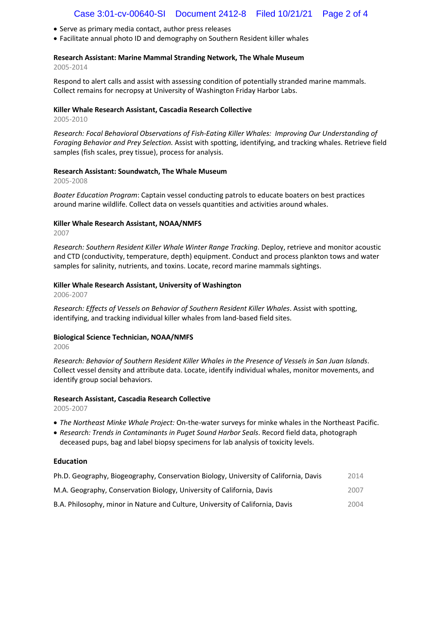- Serve as primary media contact, author press releases
- Facilitate annual photo ID and demography on Southern Resident killer whales

## **Research Assistant: Marine Mammal Stranding Network, The Whale Museum**

2005-2014

Respond to alert calls and assist with assessing condition of potentially stranded marine mammals. Collect remains for necropsy at University of Washington Friday Harbor Labs.

## **Killer Whale Research Assistant, Cascadia Research Collective**

2005-2010

*Research: Focal Behavioral Observations of Fish-Eating Killer Whales: Improving Our Understanding of Foraging Behavior and Prey Selection.* Assist with spotting, identifying, and tracking whales. Retrieve field samples (fish scales, prey tissue), process for analysis.

## **Research Assistant: Soundwatch, The Whale Museum**

2005-2008

*Boater Education Program*: Captain vessel conducting patrols to educate boaters on best practices around marine wildlife. Collect data on vessels quantities and activities around whales.

## **Killer Whale Research Assistant, NOAA/NMFS**

2007

*Research: Southern Resident Killer Whale Winter Range Tracking*. Deploy, retrieve and monitor acoustic and CTD (conductivity, temperature, depth) equipment. Conduct and process plankton tows and water samples for salinity, nutrients, and toxins. Locate, record marine mammals sightings.

## **Killer Whale Research Assistant, University of Washington**

2006-2007

*Research: Effects of Vessels on Behavior of Southern Resident Killer Whales*. Assist with spotting, identifying, and tracking individual killer whales from land-based field sites.

## **Biological Science Technician, NOAA/NMFS**

2006

*Research: Behavior of Southern Resident Killer Whales in the Presence of Vessels in San Juan Islands*. Collect vessel density and attribute data. Locate, identify individual whales, monitor movements, and identify group social behaviors.

## **Research Assistant, Cascadia Research Collective**

2005-2007

- *The Northeast Minke Whale Project:* On-the-water surveys for minke whales in the Northeast Pacific.
- *Research: Trends in Contaminants in Puget Sound Harbor Seals*. Record field data, photograph deceased pups, bag and label biopsy specimens for lab analysis of toxicity levels.

## **Education**

| Ph.D. Geography, Biogeography, Conservation Biology, University of California, Davis | 2014 |
|--------------------------------------------------------------------------------------|------|
| M.A. Geography, Conservation Biology, University of California, Davis                | 2007 |
| B.A. Philosophy, minor in Nature and Culture, University of California, Davis        | 2004 |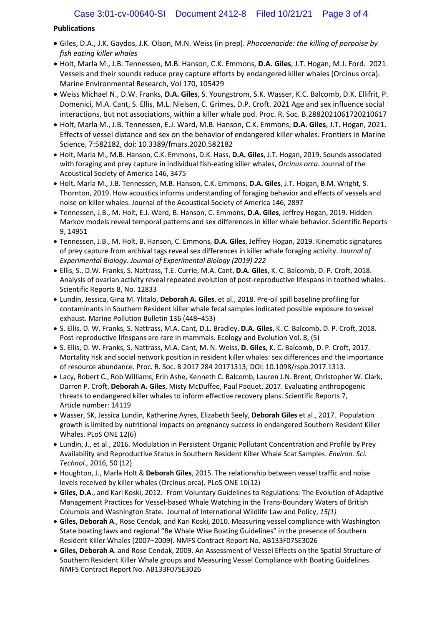# **Publications**

- Giles, D.A., J.K. Gaydos, J.K. Olson, M.N. Weiss (in prep). *Phocoenacide: the killing of porpoise by fish eating killer whales*
- Holt, Marla M., J.B. Tennessen, M.B. Hanson, C.K. Emmons, **D.A. Giles**, J.T. Hogan, M.J. Ford. 2021. Vessels and their sounds reduce prey capture efforts by endangered killer whales (Orcinus orca). Marine Environmental Research, Vol 170, 105429
- Weiss Michael N., D.W. Franks, **D.A. Giles**, S. Youngstrom, S.K. Wasser, K.C. Balcomb, D.K. Ellifrit, P. Domenici, M.A. Cant, S. Ellis, M.L. Nielsen, C. Grimes, D.P. Croft. 2021 Age and sex influence social interactions, but not associations, within a killer whale pod. Proc. R. Soc. B.2882021061720210617
- Holt, Marla M., J.B. Tennessen, E.J. Ward, M.B. Hanson, C.K. Emmons, **D.A. Giles**, J.T. Hogan, 2021. Effects of vessel distance and sex on the behavior of endangered killer whales. Frontiers in Marine Science, 7:582182, doi: 10.3389/fmars.2020.582182
- Holt, Marla M., M.B. Hanson, C.K. Emmons, D.K. Hass, **D.A. Giles**, J.T. Hogan, 2019. Sounds associated with foraging and prey capture in individual fish-eating killer whales, *Orcinus orca*. Journal of the Acoustical Society of America 146, 3475
- Holt, Marla M., J.B. Tennessen, M.B. Hanson, C.K. Emmons, **D.A. Giles**, J.T. Hogan, B.M. Wright, S. Thornton, 2019. How acoustics informs understanding of foraging behavior and effects of vessels and noise on killer whales. Journal of the Acoustical Society of America 146, 2897
- Tennessen, J.B., M. Holt, E.J. Ward, B. Hanson, C. Emmons, **D.A. Giles**, Jeffrey Hogan, 2019. Hidden Markov models reveal temporal patterns and sex differences in killer whale behavior. Scientific Reports 9, 14951
- Tennessen, J.B., M. Holt, B. Hanson, C. Emmons, **D.A. Giles**, Jeffrey Hogan, 2019. Kinematic signatures of prey capture from archival tags reveal sex differences in killer whale foraging activity. *Journal of Experimental Biology. Journal of Experimental Biology (2019) 222*
- Ellis, S., D.W. Franks, S. Nattrass, T.E. Currie, M.A. Cant, **D.A. Giles**, K. C. Balcomb, D. P. Croft, 2018. Analysis of ovarian activity reveal repeated evolution of post-reproductive lifespans in toothed whales. Scientific Reports 8, No. 12833
- Lundin, Jessica, Gina M. Ylitalo, **Deborah A. Giles**, et al., 2018. Pre-oil spill baseline profiling for contaminants in Southern Resident killer whale fecal samples indicated possible exposure to vessel exhaust. Marine Pollution Bulletin 136 (448–453)
- S. Ellis, D. W. Franks, S. Nattrass, M.A. Cant, D.L. Bradley, **D.A. Giles**, K. C. Balcomb, D. P. Croft, 2018. Post-reproductive lifespans are rare in mammals. Ecology and Evolution Vol. 8, (5)
- S. Ellis, D. W. Franks, S. Nattrass, M.A. Cant, M. N. Weiss, **D. Giles**, K. C. Balcomb, D. P. Croft, 2017. Mortality risk and social network position in resident killer whales: sex differences and the importance of resource abundance. Proc. R. Soc. B 2017 284 20171313; DOI: 10.1098/rspb.2017.1313.
- Lacy, Robert C., Rob Williams, Erin Ashe, Kenneth C. Balcomb, Lauren J.N. Brent, Christopher W. Clark, Darren P. Croft, **Deborah A. Giles**, Misty McDuffee, Paul Paquet, 2017. Evaluating anthropogenic threats to endangered killer whales to inform effective recovery plans. Scientific Reports 7, Article number: 14119
- Wasser, SK, Jessica Lundin, Katherine Ayres, Elizabeth Seely, **Deborah Giles** et al., 2017. Population growth is limited by nutritional impacts on pregnancy success in endangered Southern Resident Killer Whales. PLoS ONE 12(6)
- Lundin, J., et al., 2016. Modulation in Persistent Organic Pollutant Concentration and Profile by Prey Availability and Reproductive Status in Southern Resident Killer Whale Scat Samples. *Environ. Sci. Technol.,* 2016, 50 (12)
- Houghton, J., Marla Holt & **Deborah Giles**, 2015. The relationship between vessel traffic and noise levels received by killer whales (Orcinus orca). PLoS ONE 10(12)
- **Giles, D.A**., and Kari Koski, 2012. From Voluntary Guidelines to Regulations: The Evolution of Adaptive Management Practices for Vessel-based Whale Watching in the Trans-Boundary Waters of British Columbia and Washington State. Journal of International Wildlife Law and Policy, *15(1)*
- **Giles, Deborah A**., Rose Cendak, and Kari Koski, 2010. Measuring vessel compliance with Washington State boating laws and regional "Be Whale Wise Boating Guidelines" in the presence of Southern Resident Killer Whales (2007–2009). NMFS Contract Report No. AB133F07SE3026
- **Giles, Deborah A**. and Rose Cendak, 2009. An Assessment of Vessel Effects on the Spatial Structure of Southern Resident Killer Whale groups and Measuring Vessel Compliance with Boating Guidelines. NMFS Contract Report No. AB133F07SE3026